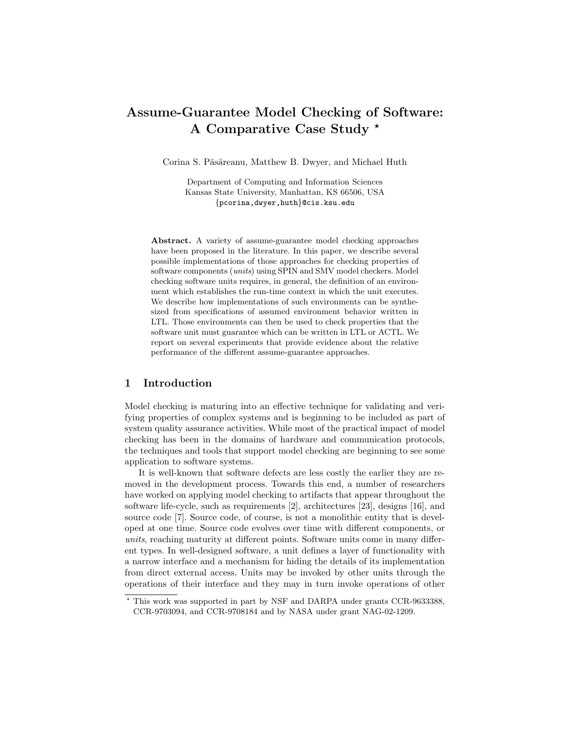# **Assume-Guarantee Model Checking of Software: A Comparative Case Study** *?*

Corina S. Păsăreanu, Matthew B. Dwyer, and Michael Huth

Department of Computing and Information Sciences Kansas State University, Manhattan, KS 66506, USA {pcorina,dwyer,huth}@cis.ksu.edu

**Abstract.** A variety of assume-guarantee model checking approaches have been proposed in the literature. In this paper, we describe several possible implementations of those approaches for checking properties of software components (units) using SPIN and SMV model checkers. Model checking software units requires, in general, the definition of an environment which establishes the run-time context in which the unit executes. We describe how implementations of such environments can be synthesized from specifications of assumed environment behavior written in LTL. Those environments can then be used to check properties that the software unit must guarantee which can be written in LTL or ACTL. We report on several experiments that provide evidence about the relative performance of the different assume-guarantee approaches.

#### **1 Introduction**

Model checking is maturing into an effective technique for validating and verifying properties of complex systems and is beginning to be included as part of system quality assurance activities. While most of the practical impact of model checking has been in the domains of hardware and communication protocols, the techniques and tools that support model checking are beginning to see some application to software systems.

It is well-known that software defects are less costly the earlier they are removed in the development process. Towards this end, a number of researchers have worked on applying model checking to artifacts that appear throughout the software life-cycle, such as requirements [2], architectures [23], designs [16], and source code [7]. Source code, of course, is not a monolithic entity that is developed at one time. Source code evolves over time with different components, or units, reaching maturity at different points. Software units come in many different types. In well-designed software, a unit defines a layer of functionality with a narrow interface and a mechanism for hiding the details of its implementation from direct external access. Units may be invoked by other units through the operations of their interface and they may in turn invoke operations of other

<sup>?</sup> This work was supported in part by NSF and DARPA under grants CCR-9633388, CCR-9703094, and CCR-9708184 and by NASA under grant NAG-02-1209.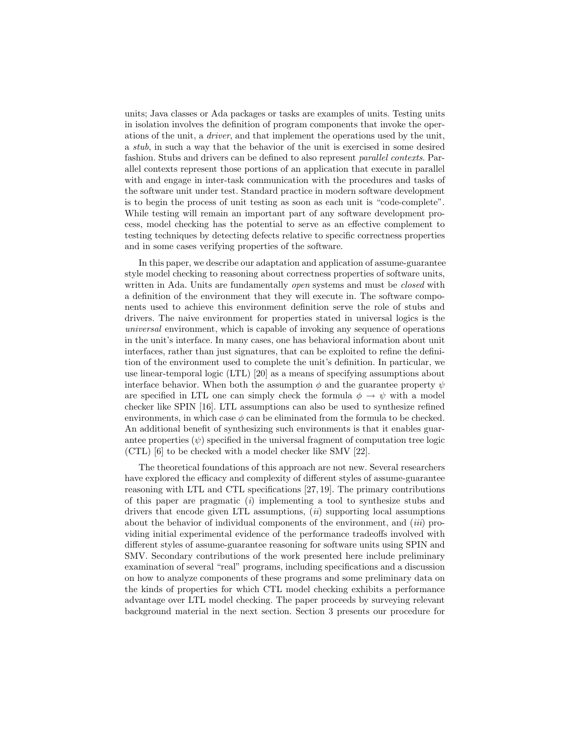units; Java classes or Ada packages or tasks are examples of units. Testing units in isolation involves the definition of program components that invoke the operations of the unit, a driver, and that implement the operations used by the unit, a stub, in such a way that the behavior of the unit is exercised in some desired fashion. Stubs and drivers can be defined to also represent *parallel contexts*. Parallel contexts represent those portions of an application that execute in parallel with and engage in inter-task communication with the procedures and tasks of the software unit under test. Standard practice in modern software development is to begin the process of unit testing as soon as each unit is "code-complete". While testing will remain an important part of any software development process, model checking has the potential to serve as an effective complement to testing techniques by detecting defects relative to specific correctness properties and in some cases verifying properties of the software.

In this paper, we describe our adaptation and application of assume-guarantee style model checking to reasoning about correctness properties of software units, written in Ada. Units are fundamentally *open* systems and must be *closed* with a definition of the environment that they will execute in. The software components used to achieve this environment definition serve the role of stubs and drivers. The naive environment for properties stated in universal logics is the universal environment, which is capable of invoking any sequence of operations in the unit's interface. In many cases, one has behavioral information about unit interfaces, rather than just signatures, that can be exploited to refine the definition of the environment used to complete the unit's definition. In particular, we use linear-temporal logic (LTL) [20] as a means of specifying assumptions about interface behavior. When both the assumption  $\phi$  and the guarantee property  $\psi$ are specified in LTL one can simply check the formula  $\phi \to \psi$  with a model checker like SPIN [16]. LTL assumptions can also be used to synthesize refined environments, in which case  $\phi$  can be eliminated from the formula to be checked. An additional benefit of synthesizing such environments is that it enables guarantee properties  $(\psi)$  specified in the universal fragment of computation tree logic (CTL) [6] to be checked with a model checker like SMV [22].

The theoretical foundations of this approach are not new. Several researchers have explored the efficacy and complexity of different styles of assume-guarantee reasoning with LTL and CTL specifications [27, 19]. The primary contributions of this paper are pragmatic  $(i)$  implementing a tool to synthesize stubs and drivers that encode given LTL assumptions,  $(ii)$  supporting local assumptions about the behavior of individual components of the environment, and *(iii)* providing initial experimental evidence of the performance tradeoffs involved with different styles of assume-guarantee reasoning for software units using SPIN and SMV. Secondary contributions of the work presented here include preliminary examination of several "real" programs, including specifications and a discussion on how to analyze components of these programs and some preliminary data on the kinds of properties for which CTL model checking exhibits a performance advantage over LTL model checking. The paper proceeds by surveying relevant background material in the next section. Section 3 presents our procedure for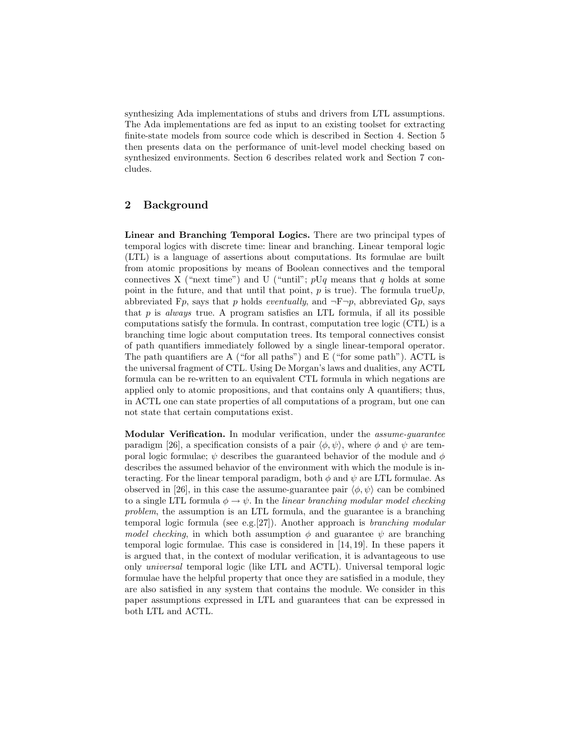synthesizing Ada implementations of stubs and drivers from LTL assumptions. The Ada implementations are fed as input to an existing toolset for extracting finite-state models from source code which is described in Section 4. Section 5 then presents data on the performance of unit-level model checking based on synthesized environments. Section 6 describes related work and Section 7 concludes.

### **2 Background**

**Linear and Branching Temporal Logics.** There are two principal types of temporal logics with discrete time: linear and branching. Linear temporal logic (LTL) is a language of assertions about computations. Its formulae are built from atomic propositions by means of Boolean connectives and the temporal connectives X ("next time") and U ("until";  $pUq$  means that q holds at some point in the future, and that until that point,  $p$  is true). The formula trueU $p$ , abbreviated Fp, says that p holds eventually, and  $\neg$ F $\neg$ p, abbreviated Gp, says that  $p$  is *always* true. A program satisfies an LTL formula, if all its possible computations satisfy the formula. In contrast, computation tree logic (CTL) is a branching time logic about computation trees. Its temporal connectives consist of path quantifiers immediately followed by a single linear-temporal operator. The path quantifiers are A ("for all paths") and E ("for some path"). ACTL is the universal fragment of CTL. Using De Morgan's laws and dualities, any ACTL formula can be re-written to an equivalent CTL formula in which negations are applied only to atomic propositions, and that contains only A quantifiers; thus, in ACTL one can state properties of all computations of a program, but one can not state that certain computations exist.

**Modular Verification.** In modular verification, under the assume-guarantee paradigm [26], a specification consists of a pair  $\langle \phi, \psi \rangle$ , where  $\phi$  and  $\psi$  are temporal logic formulae;  $\psi$  describes the guaranteed behavior of the module and  $\phi$ describes the assumed behavior of the environment with which the module is interacting. For the linear temporal paradigm, both  $\phi$  and  $\psi$  are LTL formulae. As observed in [26], in this case the assume-guarantee pair  $\langle \phi, \psi \rangle$  can be combined to a single LTL formula  $\phi \to \psi$ . In the linear branching modular model checking problem, the assumption is an LTL formula, and the guarantee is a branching temporal logic formula (see e.g. [27]). Another approach is *branching modular* model checking, in which both assumption  $\phi$  and guarantee  $\psi$  are branching temporal logic formulae. This case is considered in [14, 19]. In these papers it is argued that, in the context of modular verification, it is advantageous to use only universal temporal logic (like LTL and ACTL). Universal temporal logic formulae have the helpful property that once they are satisfied in a module, they are also satisfied in any system that contains the module. We consider in this paper assumptions expressed in LTL and guarantees that can be expressed in both LTL and ACTL.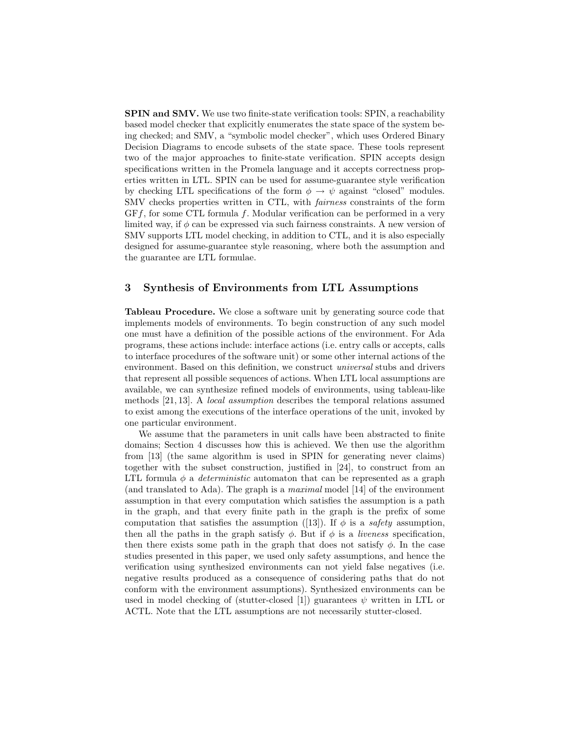**SPIN and SMV.** We use two finite-state verification tools: SPIN, a reachability based model checker that explicitly enumerates the state space of the system being checked; and SMV, a "symbolic model checker", which uses Ordered Binary Decision Diagrams to encode subsets of the state space. These tools represent two of the major approaches to finite-state verification. SPIN accepts design specifications written in the Promela language and it accepts correctness properties written in LTL. SPIN can be used for assume-guarantee style verification by checking LTL specifications of the form  $\phi \to \psi$  against "closed" modules. SMV checks properties written in CTL, with fairness constraints of the form  $G\Gamma f$ , for some CTL formula f. Modular verification can be performed in a very limited way, if  $\phi$  can be expressed via such fairness constraints. A new version of SMV supports LTL model checking, in addition to CTL, and it is also especially designed for assume-guarantee style reasoning, where both the assumption and the guarantee are LTL formulae.

#### **3 Synthesis of Environments from LTL Assumptions**

**Tableau Procedure.** We close a software unit by generating source code that implements models of environments. To begin construction of any such model one must have a definition of the possible actions of the environment. For Ada programs, these actions include: interface actions (i.e. entry calls or accepts, calls to interface procedures of the software unit) or some other internal actions of the environment. Based on this definition, we construct universal stubs and drivers that represent all possible sequences of actions. When LTL local assumptions are available, we can synthesize refined models of environments, using tableau-like methods [21, 13]. A local assumption describes the temporal relations assumed to exist among the executions of the interface operations of the unit, invoked by one particular environment.

We assume that the parameters in unit calls have been abstracted to finite domains; Section 4 discusses how this is achieved. We then use the algorithm from [13] (the same algorithm is used in SPIN for generating never claims) together with the subset construction, justified in [24], to construct from an LTL formula  $\phi$  a *deterministic* automaton that can be represented as a graph (and translated to Ada). The graph is a maximal model [14] of the environment assumption in that every computation which satisfies the assumption is a path in the graph, and that every finite path in the graph is the prefix of some computation that satisfies the assumption ([13]). If  $\phi$  is a *safety* assumption, then all the paths in the graph satisfy  $\phi$ . But if  $\phi$  is a *liveness* specification, then there exists some path in the graph that does not satisfy  $\phi$ . In the case studies presented in this paper, we used only safety assumptions, and hence the verification using synthesized environments can not yield false negatives (i.e. negative results produced as a consequence of considering paths that do not conform with the environment assumptions). Synthesized environments can be used in model checking of (stutter-closed [1]) guarantees  $\psi$  written in LTL or ACTL. Note that the LTL assumptions are not necessarily stutter-closed.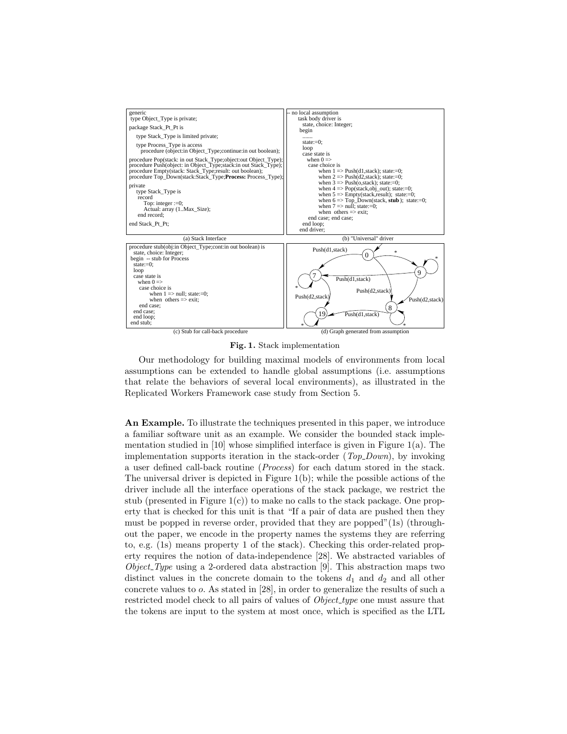

**Fig. 1.** Stack implementation

Our methodology for building maximal models of environments from local assumptions can be extended to handle global assumptions (i.e. assumptions that relate the behaviors of several local environments), as illustrated in the Replicated Workers Framework case study from Section 5.

**An Example.** To illustrate the techniques presented in this paper, we introduce a familiar software unit as an example. We consider the bounded stack implementation studied in [10] whose simplified interface is given in Figure 1(a). The implementation supports iteration in the stack-order  $(Top_{\text{D}}Down)$ , by invoking a user defined call-back routine (Process) for each datum stored in the stack. The universal driver is depicted in Figure 1(b); while the possible actions of the driver include all the interface operations of the stack package, we restrict the stub (presented in Figure  $1(c)$ ) to make no calls to the stack package. One property that is checked for this unit is that "If a pair of data are pushed then they must be popped in reverse order, provided that they are popped"(1s) (throughout the paper, we encode in the property names the systems they are referring to, e.g. (1s) means property 1 of the **s**tack). Checking this order-related property requires the notion of data-independence [28]. We abstracted variables of *Object\_Type* using a 2-ordered data abstraction [9]. This abstraction maps two distinct values in the concrete domain to the tokens  $d_1$  and  $d_2$  and all other concrete values to o. As stated in [28], in order to generalize the results of such a restricted model check to all pairs of values of *Object\_type* one must assure that the tokens are input to the system at most once, which is specified as the LTL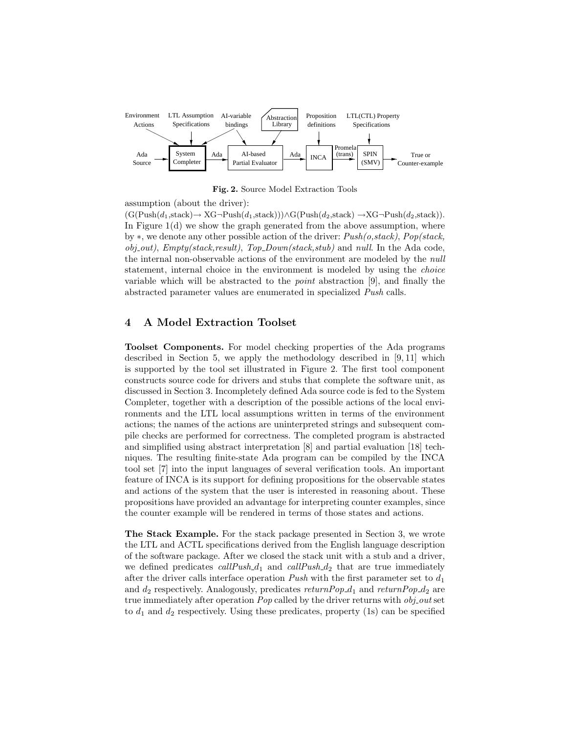

**Fig. 2.** Source Model Extraction Tools

assumption (about the driver):

 $(G(Push(d_1,stack) \rightarrow XG\rightarrow Push(d_1,stack)) \land G(Push(d_2,stack) \rightarrow XG\rightarrow Push(d_2,stack)).$ In Figure  $1(d)$  we show the graph generated from the above assumption, where by  $\ast$ , we denote any other possible action of the driver:  $Push(o, stack), Pop(state,$  $obj\_out$ ,  $Empty(state,result)$ ,  $Top\_Down(state,stab)$  and null. In the Ada code, the internal non-observable actions of the environment are modeled by the *null* statement, internal choice in the environment is modeled by using the *choice* variable which will be abstracted to the point abstraction [9], and finally the abstracted parameter values are enumerated in specialized Push calls.

#### **4 A Model Extraction Toolset**

**Toolset Components.** For model checking properties of the Ada programs described in Section 5, we apply the methodology described in [9, 11] which is supported by the tool set illustrated in Figure 2. The first tool component constructs source code for drivers and stubs that complete the software unit, as discussed in Section 3. Incompletely defined Ada source code is fed to the System Completer, together with a description of the possible actions of the local environments and the LTL local assumptions written in terms of the environment actions; the names of the actions are uninterpreted strings and subsequent compile checks are performed for correctness. The completed program is abstracted and simplified using abstract interpretation [8] and partial evaluation [18] techniques. The resulting finite-state Ada program can be compiled by the INCA tool set [7] into the input languages of several verification tools. An important feature of INCA is its support for defining propositions for the observable states and actions of the system that the user is interested in reasoning about. These propositions have provided an advantage for interpreting counter examples, since the counter example will be rendered in terms of those states and actions.

**The Stack Example.** For the stack package presented in Section 3, we wrote the LTL and ACTL specifications derived from the English language description of the software package. After we closed the stack unit with a stub and a driver, we defined predicates call  $Push\_d_1$  and call  $Push\_d_2$  that are true immediately after the driver calls interface operation *Push* with the first parameter set to  $d_1$ and  $d_2$  respectively. Analogously, predicates returnPop\_ $d_1$  and returnPop\_ $d_2$  are true immediately after operation  $Pop$  called by the driver returns with  $obj_1$  out set to  $d_1$  and  $d_2$  respectively. Using these predicates, property (1s) can be specified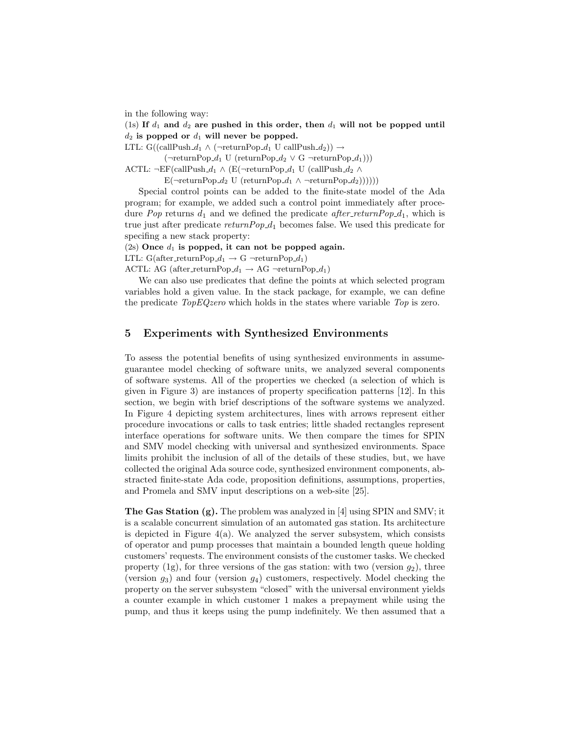in the following way:

 $(1s)$  If  $d_1$  and  $d_2$  are pushed in this order, then  $d_1$  will not be popped until  $d_2$  is popped or  $d_1$  will never be popped.

LTL: G((callPush\_d<sub>1</sub>  $\wedge$  (¬returnPop\_d<sub>1</sub> U callPush\_d<sub>2</sub>))  $\rightarrow$ 

 $(\neg returnPop_d_1 \cup (returnPop_d_2 \vee G \neg returnPop_d_1)))$ 

ACTL: ¬EF(callPush\_ $d_1 \wedge (\mathbb{E}(\neg \text{returnPop\_d_1 \cup (\text{callPush\_d_2} \wedge$ 

E(¬returnPop\_ $d_2$  U (returnPop\_ $d_1 \wedge \neg$ returnPop\_ $d_2$ ))))))

Special control points can be added to the finite-state model of the Ada program; for example, we added such a control point immediately after procedure Pop returns  $d_1$  and we defined the predicate after-return Pop- $d_1$ , which is true just after predicate  $returnPop\_d_1$  becomes false. We used this predicate for specifing a new stack property:

 $(2s)$  Once  $d_1$  is popped, it can not be popped again.

LTL:  $G(\text{after\_returnPop\_}d_1 \rightarrow G \rightarrow \text{returnPop\_}d_1)$ 

ACTL: AG (after\_returnPop\_ $d_1 \rightarrow AG \rightarrow$ returnPop\_ $d_1$ )

We can also use predicates that define the points at which selected program variables hold a given value. In the stack package, for example, we can define the predicate  $TopEQzero$  which holds in the states where variable  $Top$  is zero.

#### **5 Experiments with Synthesized Environments**

To assess the potential benefits of using synthesized environments in assumeguarantee model checking of software units, we analyzed several components of software systems. All of the properties we checked (a selection of which is given in Figure 3) are instances of property specification patterns [12]. In this section, we begin with brief descriptions of the software systems we analyzed. In Figure 4 depicting system architectures, lines with arrows represent either procedure invocations or calls to task entries; little shaded rectangles represent interface operations for software units. We then compare the times for SPIN and SMV model checking with universal and synthesized environments. Space limits prohibit the inclusion of all of the details of these studies, but, we have collected the original Ada source code, synthesized environment components, abstracted finite-state Ada code, proposition definitions, assumptions, properties, and Promela and SMV input descriptions on a web-site [25].

**The Gas Station (g).** The problem was analyzed in [4] using SPIN and SMV; it is a scalable concurrent simulation of an automated gas station. Its architecture is depicted in Figure  $4(a)$ . We analyzed the server subsystem, which consists of operator and pump processes that maintain a bounded length queue holding customers' requests. The environment consists of the customer tasks. We checked property  $(1g)$ , for three versions of the gas station: with two (version  $q_2$ ), three (version  $g_3$ ) and four (version  $g_4$ ) customers, respectively. Model checking the property on the server subsystem "closed" with the universal environment yields a counter example in which customer 1 makes a prepayment while using the pump, and thus it keeps using the pump indefinitely. We then assumed that a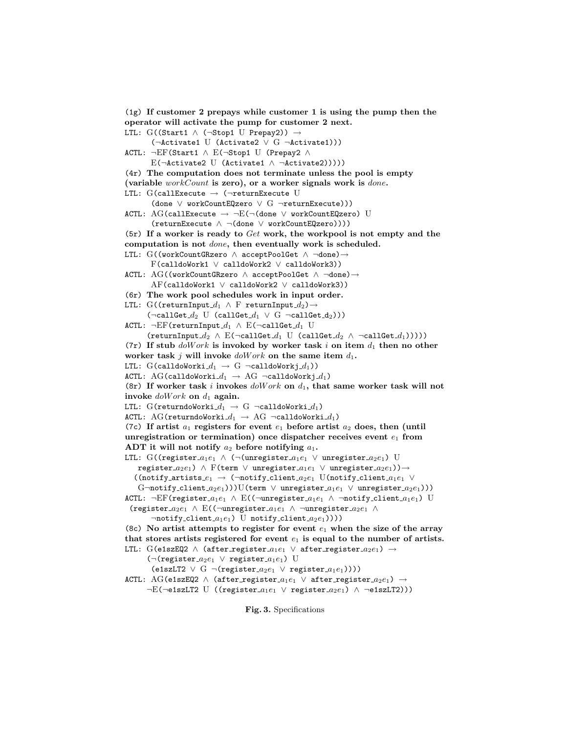```
(1g) If customer 2 prepays while customer 1 is using the pump then the
operator will activate the pump for customer 2 next.
LTL: G((Start 1 \wedge (\neg Stop 1 \cup Prepay 2)) \rightarrow(¬Activate1 U (Activate2 ∨ G ¬Activate1)))
ACTL: ¬EF(Start1 ∧ E(¬Stop1 U (Prepay2 ∧
        E(\negActivate2 U (Activate1 \land \negActivate2)))))
(4r) The computation does not terminate unless the pool is empty
(variable workCount is zero), or a worker signals work is done.
LTL: G(callExecute \rightarrow (\negreturnExecute U
        (done ∨ workCountEQzero ∨ G ¬returnExecute)))
\texttt{ACTL: AG}(\texttt{callExecute} \rightarrow \neg \text{E}(\neg(\texttt{done} \lor \texttt{workCountEQzero}) \ \text{U})(returnExecute ∧ ¬(done ∨ workCountEQzero))))
(5r) If a worker is ready to Get work, the workpool is not empty and the
computation is not done, then eventually work is scheduled.
LTL: G((workCountGRzero ∧ acceptPoolGet ∧ ¬done)→
       F(calldoWork1 ∨ calldoWork2 ∨ calldoWork3))
ACTL: AG((workCountGRzero ∧ acceptPoolGet ∧ ¬done)→
       AF(calldoWork1 ∨ calldoWork2 ∨ calldoWork3))
(6r) The work pool schedules work in input order.
LTL: G((returnInput_d_1 \wedge F returnInput_d_2) \rightarrow(\neg \text{called } d_2 \cup (\text{called } d_1 \vee G \neg \text{called } d_2)))ACTL: \neg EF(returnInput<sub>-d_1 \wedge E(\negcallGet<sub>-d_1</sub> U</sub>
      (\text{returnInput\_}d_2 \wedge E(\neg \text{callGet\_}d_1 \cup (\text{callGet\_}d_2 \wedge \neg \text{callGet\_}d_1))))(7r) If stub d\omega W \text{ or } k is invoked by worker task i on item d_1 then no other
worker task i will invoke d\omega Work on the same item d_1.
LTL: G(calldoworki_d_1 \rightarrow G \neg calldoworki_d_1)ACTL: AG(calldoWorkid_1 \rightarrow AG \negcalldoWorkjd_1)
(8r) If worker task i invokes d\omega W \text{ or } d_1, that same worker task will not
invoke d\omega Work on d_1 again.
LTL: G(returndoWorki_d_1 \rightarrow G \negcalldoWorki_d_1)
ACTL: AG(returndoWorki_d_1 \rightarrow AG \neg \text{calldoworti}_d_1)
(7c) If artist a_1 registers for event e_1 before artist a_2 does, then (until
unregistration or termination) once dispatcher receives event e1 from
ADT it will not notify a_2 before notifying a_1.
LTL: G((register_a_1e_1 \wedge (\neg(\text{unregister\_}a_1e_1 \vee \text{unregister\_}a_2e_1) U
   register a_2e_1) ∧ F(term \vee unregister a_1e_1 \vee unregister a_2e_1)) \rightarrow((notify_artists_e_1 \rightarrow (¬notify_client_a<sub>2</sub>e<sub>1</sub> U(notify_client_a<sub>1</sub>e<sub>1</sub> V)
   G-notify_client_a<sub>2</sub>e<sub>1</sub>)))U(term \vee unregister_a<sub>1</sub>e<sub>1</sub> \vee unregister_a<sub>2</sub>e<sub>1</sub>)))
ACTL: \neg EF(register_a_1e_1 \wedge E(\negunregister_a_1e_1 \wedge \negnotify_client_a_1e_1) U
 (register_a_2e_1 \wedge E((¬unregister_a_1e_1 \wedge \negunregister_a_2e_1 \wedge \neg\negnotify_client_a_1e_1) U notify_client_a_2e_1))))
(8c) No artist attempts to register for event e_1 when the size of the array
that stores artists registered for event e_1 is equal to the number of artists.
LTL: G(e1szEQ2 \wedge (after_register_a_1e_1 \vee after_register_a_2e_1) \rightarrow(\neg(\text{register}_2 e_1 \lor \text{register}_4 e_1) \cup(\texttt{e1szLT2} \lor G \lnot (\texttt{register}_a_2e_1 \lor \texttt{register}_a_1e_1))))ACTL: AG(e1szEQ2 \land (after_register_a_1e_1 \lor after_register_a_2e_1) \rightarrow\neg E(\neg e1szLT2 \cup ((register_a_1e_1 \lor register_a_2e_1) \land \neg e1szLT2)))Fig. 3. Specifications
```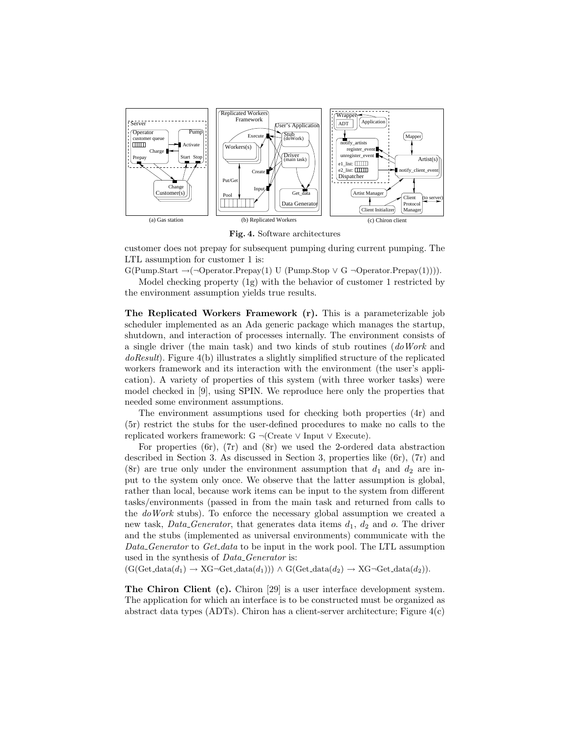

**Fig. 4.** Software architectures

customer does not prepay for subsequent pumping during current pumping. The LTL assumption for customer 1 is:

 $G(Pump.Star \rightarrow (\neg Operator.Prepay(1) U (Pump.Stop ∨ G \rightarrow Operator.Prepay(1))).$ 

Model checking property (1g) with the behavior of customer 1 restricted by the environment assumption yields true results.

**The Replicated Workers Framework (r).** This is a parameterizable job scheduler implemented as an Ada generic package which manages the startup, shutdown, and interaction of processes internally. The environment consists of a single driver (the main task) and two kinds of stub routines (doWork and  $doResult$ ). Figure  $4(b)$  illustrates a slightly simplified structure of the replicated workers framework and its interaction with the environment (the user's application). A variety of properties of this system (with three worker tasks) were model checked in [9], using SPIN. We reproduce here only the properties that needed some environment assumptions.

The environment assumptions used for checking both properties (4r) and (5r) restrict the stubs for the user-defined procedures to make no calls to the replicated workers framework: G ¬(Create ∨ Input ∨ Execute).

For properties  $(6r)$ ,  $(7r)$  and  $(8r)$  we used the 2-ordered data abstraction described in Section 3. As discussed in Section 3, properties like (6r), (7r) and (8r) are true only under the environment assumption that  $d_1$  and  $d_2$  are input to the system only once. We observe that the latter assumption is global, rather than local, because work items can be input to the system from different tasks/environments (passed in from the main task and returned from calls to the *doWork* stubs). To enforce the necessary global assumption we created a new task, *Data Generator*, that generates data items  $d_1$ ,  $d_2$  and o. The driver and the stubs (implemented as universal environments) communicate with the Data Generator to Get data to be input in the work pool. The LTL assumption used in the synthesis of *Data\_Generator* is:

 $(G(\text{Get\_data}(d_1) \rightarrow \text{XG} \neg \text{Get\_data}(d_1))) \wedge G(\text{Get\_data}(d_2) \rightarrow \text{XG} \neg \text{Get\_data}(d_2)).$ 

**The Chiron Client (c).** Chiron [29] is a user interface development system. The application for which an interface is to be constructed must be organized as abstract data types (ADTs). Chiron has a client-server architecture; Figure 4(c)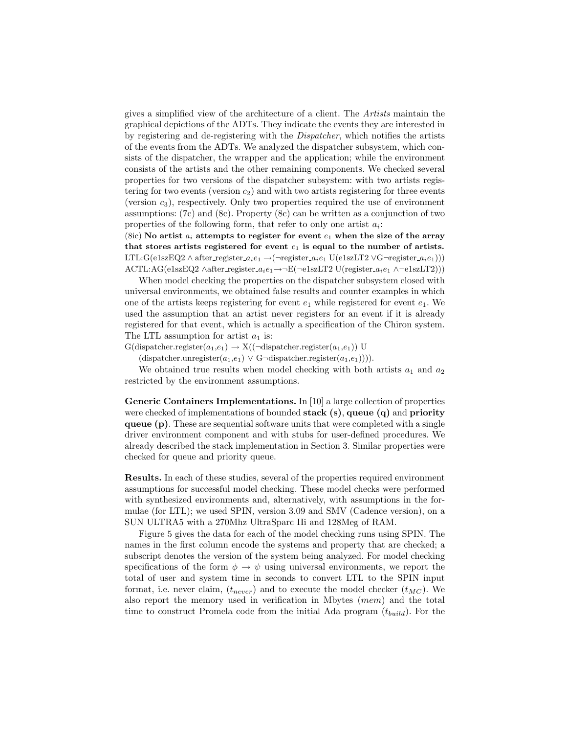gives a simplified view of the architecture of a client. The Artists maintain the graphical depictions of the ADTs. They indicate the events they are interested in by registering and de-registering with the *Dispatcher*, which notifies the artists of the events from the ADTs. We analyzed the dispatcher subsystem, which consists of the dispatcher, the wrapper and the application; while the environment consists of the artists and the other remaining components. We checked several properties for two versions of the dispatcher subsystem: with two artists registering for two events (version  $c_2$ ) and with two artists registering for three events (version  $c_3$ ), respectively. Only two properties required the use of environment assumptions: (7c) and (8c). Property (8c) can be written as a conjunction of two properties of the following form, that refer to only one artist  $a_i$ :

 $(8i)$  No artist  $a_i$  attempts to register for event  $e_1$  when the size of the array that stores artists registered for event  $e_1$  is equal to the number of artists. LTL:G(e1szEQ2 ∧ after register  $a_i e_1 \rightarrow (\neg$ register  $a_i e_1$  U(e1szLT2  $\lor$ G $\neg$ register  $a_i e_1$ ))) ACTL:AG(e1szEQ2 ∧after\_register\_ $a_i e_1 \rightarrow \neg E(\neg e1zLTT2 U(\text{register\_}a_i e_1 \land \neg e1zLTT2)))$ 

When model checking the properties on the dispatcher subsystem closed with universal environments, we obtained false results and counter examples in which one of the artists keeps registering for event  $e_1$  while registered for event  $e_1$ . We used the assumption that an artist never registers for an event if it is already registered for that event, which is actually a specification of the Chiron system. The LTL assumption for artist  $a_1$  is:

 $G(dispatcher.\text{register}(a_1,e_1) \rightarrow X((\neg dispatcher.\text{register}(a_1,e_1))$  U

(dispatcher.unregister $(a_1,e_1) \vee G$ ¬dispatcher.register $(a_1,e_1)$ )).

We obtained true results when model checking with both artists  $a_1$  and  $a_2$ restricted by the environment assumptions.

**Generic Containers Implementations.** In [10] a large collection of properties were checked of implementations of bounded **stack (s)**, **queue (q)** and **priority queue (p)**. These are sequential software units that were completed with a single driver environment component and with stubs for user-defined procedures. We already described the stack implementation in Section 3. Similar properties were checked for queue and priority queue.

**Results.** In each of these studies, several of the properties required environment assumptions for successful model checking. These model checks were performed with synthesized environments and, alternatively, with assumptions in the formulae (for LTL); we used SPIN, version 3.09 and SMV (Cadence version), on a SUN ULTRA5 with a 270Mhz UltraSparc IIi and 128Meg of RAM.

Figure 5 gives the data for each of the model checking runs using SPIN. The names in the first column encode the systems and property that are checked; a subscript denotes the version of the system being analyzed. For model checking specifications of the form  $\phi \to \psi$  using universal environments, we report the total of user and system time in seconds to convert LTL to the SPIN input format, i.e. never claim,  $(t_{never})$  and to execute the model checker  $(t_{MC})$ . We also report the memory used in verification in Mbytes (mem) and the total time to construct Promela code from the initial Ada program  $(t_{build})$ . For the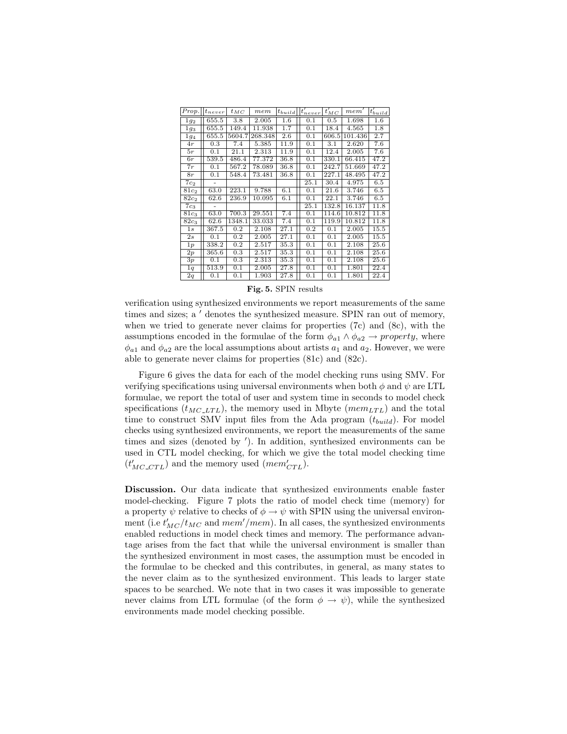| Prop.           | $t_{never}$ | $t_{MC}$ | $m$ em  | $t_{build}$        | $t'_{\underbar{never}}$ | $\overline{t'_{MC}}$ | mem'    | $t'_{build}$ |
|-----------------|-------------|----------|---------|--------------------|-------------------------|----------------------|---------|--------------|
| $1g_2$          | 655.5       | 3.8      | 2.005   | 1.6                | 0.1                     | 0.5                  | 1.698   | 1.6          |
| $1g_3$          | 655.5       | 149.4    | 11.938  | 1.7                | 0.1                     | 18.4                 | 4.565   | 1.8          |
| $1g_4$          | 655.5       | 5604.7   | 268.348 | 2.6                | 0.1                     | 606.5                | 101.436 | 2.7          |
| 4r              | 0.3         | 7.4      | 5.385   | 11.9               | 0.1                     | 3.1                  | 2.620   | 7.6          |
| 5r              | 0.1         | 21.1     | 2.313   | 11.9               | 0.1                     | 12.4                 | 2.005   | 7.6          |
| 6r              | 539.5       | 486.4    | 77.372  | $\overline{36}$ .8 | 0.1                     | 330.1                | 66.415  | 47.2         |
| 7r              | 0.1         | 567.2    | 78.089  | 36.8               | 0.1                     | 242.7                | 51.669  | 47.2         |
| 8r              | 0.1         | 548.4    | 73.481  | 36.8               | 0.1                     | 227.1                | 48.495  | 47.2         |
| 7c <sub>2</sub> |             |          |         |                    | 25.1                    | 30.4                 | 4.975   | 6.5          |
| $81c_2$         | 63.0        | 223.1    | 9.788   | 6.1                | 0.1                     | 21.6                 | 3.746   | 6.5          |
| $82c_2$         | 62.6        | 236.9    | 10.095  | 6.1                | 0.1                     | 22.1                 | 3.746   | 6.5          |
| $7c_3$          |             |          |         |                    | 25.1                    | 132.8                | 16.137  | 11.8         |
| $81c_3$         | 63.0        | 700.3    | 29.551  | 7.4                | 0.1                     | 114.6                | 10.812  | 11.8         |
| $82c_3$         | 62.6        | 1348.1   | 33.033  | 7.4                | 0.1                     | 119.9                | 10.812  | 11.8         |
| 1s              | 367.5       | 0.2      | 2.108   | 27.1               | 0.2                     | 0.1                  | 2.005   | 15.5         |
| 2s              | 0.1         | 0.2      | 2.005   | 27.1               | 0.1                     | 0.1                  | 2.005   | 15.5         |
| $_{1p}$         | 338.2       | 0.2      | 2.517   | 35.3               | 0.1                     | 0.1                  | 2.108   | 25.6         |
| $_{2p}$         | 365.6       | 0.3      | 2.517   | 35.3               | 0.1                     | 0.1                  | 2.108   | 25.6         |
| $_{3p}$         | 0.1         | 0.3      | 2.313   | 35.3               | 0.1                     | 0.1                  | 2.108   | 25.6         |
| 1q              | 513.9       | 0.1      | 2.005   | 27.8               | 0.1                     | 0.1                  | 1.801   | 22.4         |
| 2q              | 0.1         | 0.1      | 1.903   | 27.8               | 0.1                     | 0.1                  | 1.801   | 22.4         |

|  |  | Fig. 5. SPIN results |
|--|--|----------------------|
|--|--|----------------------|

verification using synthesized environments we report measurements of the same times and sizes; a ' denotes the synthesized measure. SPIN ran out of memory, when we tried to generate never claims for properties (7c) and (8c), with the assumptions encoded in the formulae of the form  $\phi_{a1} \wedge \phi_{a2} \rightarrow property$ , where  $\phi_{a1}$  and  $\phi_{a2}$  are the local assumptions about artists  $a_1$  and  $a_2$ . However, we were able to generate never claims for properties (81c) and (82c).

Figure 6 gives the data for each of the model checking runs using SMV. For verifying specifications using universal environments when both  $\phi$  and  $\psi$  are LTL formulae, we report the total of user and system time in seconds to model check specifications  $(t_{MC\_LTL})$ , the memory used in Mbyte  $(mem_{LTL})$  and the total time to construct SMV input files from the Ada program  $(t_{build})$ . For model checks using synthesized environments, we report the measurements of the same times and sizes (denoted by '). In addition, synthesized environments can be used in CTL model checking, for which we give the total model checking time  $(t'_{MC\_CTL})$  and the memory used  $(mem'_{CTL})$ .

**Discussion.** Our data indicate that synthesized environments enable faster model-checking. Figure 7 plots the ratio of model check time (memory) for a property  $\psi$  relative to checks of  $\phi \to \psi$  with SPIN using the universal environment (i.e  $t'_{MC}/t_{MC}$  and  $mem'/mem)$ . In all cases, the synthesized environments enabled reductions in model check times and memory. The performance advantage arises from the fact that while the universal environment is smaller than the synthesized environment in most cases, the assumption must be encoded in the formulae to be checked and this contributes, in general, as many states to the never claim as to the synthesized environment. This leads to larger state spaces to be searched. We note that in two cases it was impossible to generate never claims from LTL formulae (of the form  $\phi \to \psi$ ), while the synthesized environments made model checking possible.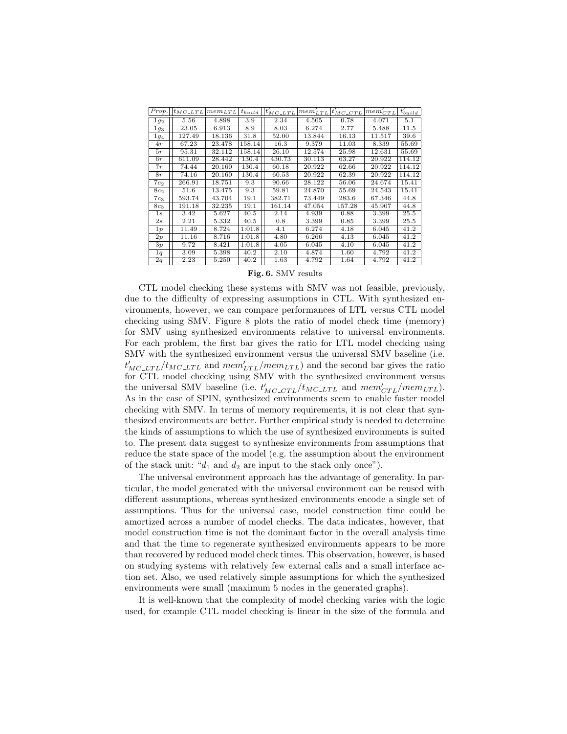| Prop.           | $t_{MC\_LTL}$ | $ mem_{LTL} $ | $t_{build}$ | $ t'_{MC\_LTL} $ mem' <sub>LTL</sub> $ t'_{MC\_CTL} $ |        |        | $\bar{ mem'_{CTL} }$ | $t'_{build}$ |
|-----------------|---------------|---------------|-------------|-------------------------------------------------------|--------|--------|----------------------|--------------|
| $1g_2$          | 5.56          | 4.898         | 3.9         | 2.34                                                  | 4.505  | 0.78   | 4.071                | 5.1          |
| $1g_3$          | 23.05         | 6.913         | 8.9         | 8.03                                                  | 6.274  | 2.77   | 5.488                | 11.5         |
| 1g <sub>4</sub> | 127.49        | 18.136        | 31.8        | 52.00                                                 | 13.844 | 16.13  | 11.517               | 39.6         |
| 4r              | 67.23         | 23.478        | 158.14      | 16.3                                                  | 9.379  | 11.03  | 8.339                | 55.69        |
| 5r              | 95.31         | 32.112        | 158.14      | 26.10                                                 | 12.574 | 25.98  | 12.631               | 55.69        |
| 6r              | 611.09        | 28.442        | 130.4       | 430.73                                                | 30.113 | 63.27  | 20.922               | 114.12       |
| 7r              | 74.44         | 20.160        | 130.4       | 60.18                                                 | 20.922 | 62.66  | 20.922               | 114.12       |
| 8r              | 74.16         | 20.160        | 130.4       | 60.53                                                 | 20.922 | 62.39  | 20.922               | 114.12       |
| $7c_2$          | 266.91        | 18.751        | 9.3         | 90.66                                                 | 28.122 | 56.06  | 24.674               | 15.41        |
| $8c_2$          | 51.6          | 13.475        | 9.3         | 59.81                                                 | 24.870 | 55.69  | 24.543               | 15.41        |
| $7c_3$          | 593.74        | 43.704        | 19.1        | 382.71                                                | 73.449 | 283.6  | 67.346               | 44.8         |
| $8c_3$          | 191.18        | 32.235        | 19.1        | 161.14                                                | 47.054 | 157.28 | 45.907               | 44.8         |
| 1s              | 3.42          | 5.627         | 40.5        | 2.14                                                  | 4.939  | 0.88   | 3.399                | 25.5         |
| 2s              | 2.21          | 5.332         | 40.5        | 0.8                                                   | 3.399  | 0.85   | 3.399                | 25.5         |
| 1p              | 11.49         | 8.724         | 1:01.8      | 4.1                                                   | 6.274  | 4.18   | 6.045                | 41.2         |
| $_{2p}$         | 11.16         | 8.716         | 1:01.8      | 4.80                                                  | 6.266  | 4.13   | 6.045                | 41.2         |
| 3p              | 9.72          | 8.421         | 1:01.8      | 4.05                                                  | 6.045  | 4.10   | 6.045                | 41.2         |
| 1q              | 3.09          | 5.398         | 40.2        | 2.10                                                  | 4.874  | 1.60   | 4.792                | 41.2         |
| 2q              | 2.23          | 5.250         | 40.2        | 1.63                                                  | 4.792  | 1.64   | 4.792                | 41.2         |

#### **Fig. 6.** SMV results

CTL model checking these systems with SMV was not feasible, previously, due to the difficulty of expressing assumptions in CTL. With synthesized environments, however, we can compare performances of LTL versus CTL model checking using SMV. Figure 8 plots the ratio of model check time (memory) for SMV using synthesized environments relative to universal environments. For each problem, the first bar gives the ratio for LTL model checking using SMV with the synthesized environment versus the universal SMV baseline (i.e.  $t'_{MC\_LTL}/t_{MC\_LTL}$  and  $mem'_{LTL}/mem_{LTL})$  and the second bar gives the ratio for CTL model checking using SMV with the synthesized environment versus the universal SMV baseline (i.e.  $t'_{MC\_CTL}/t_{MC\_LTL}$  and  $mem'_{CTL}/mem_{LTL}$ ). As in the case of SPIN, synthesized environments seem to enable faster model checking with SMV. In terms of memory requirements, it is not clear that synthesized environments are better. Further empirical study is needed to determine the kinds of assumptions to which the use of synthesized environments is suited to. The present data suggest to synthesize environments from assumptions that reduce the state space of the model (e.g. the assumption about the environment of the stack unit: " $d_1$  and  $d_2$  are input to the stack only once").

The universal environment approach has the advantage of generality. In particular, the model generated with the universal environment can be reused with different assumptions, whereas synthesized environments encode a single set of assumptions. Thus for the universal case, model construction time could be amortized across a number of model checks. The data indicates, however, that model construction time is not the dominant factor in the overall analysis time and that the time to regenerate synthesized environments appears to be more than recovered by reduced model check times. This observation, however, is based on studying systems with relatively few external calls and a small interface action set. Also, we used relatively simple assumptions for which the synthesized environments were small (maximum 5 nodes in the generated graphs).

It is well-known that the complexity of model checking varies with the logic used, for example CTL model checking is linear in the size of the formula and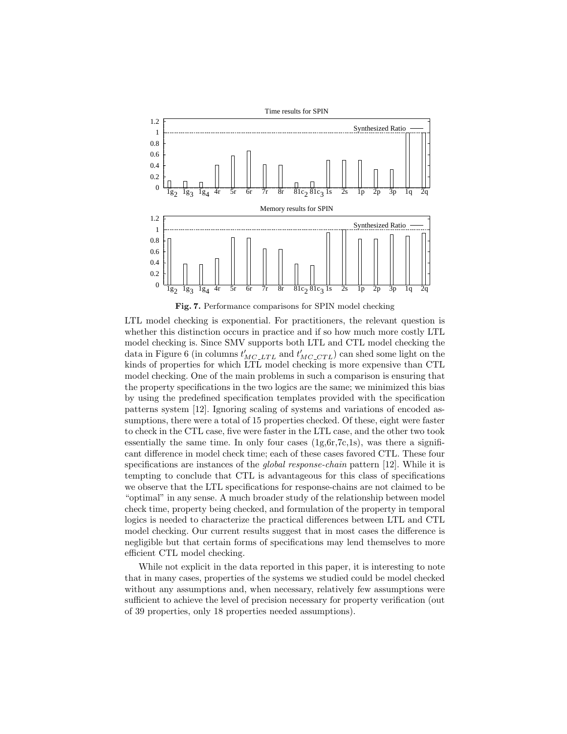

**Fig. 7.** Performance comparisons for SPIN model checking

LTL model checking is exponential. For practitioners, the relevant question is whether this distinction occurs in practice and if so how much more costly LTL model checking is. Since SMV supports both LTL and CTL model checking the data in Figure 6 (in columns  $t'_{MC\_LTL}$  and  $t'_{MC\_CTL}$ ) can shed some light on the kinds of properties for which LTL model checking is more expensive than CTL model checking. One of the main problems in such a comparison is ensuring that the property specifications in the two logics are the same; we minimized this bias by using the predefined specification templates provided with the specification patterns system [12]. Ignoring scaling of systems and variations of encoded assumptions, there were a total of 15 properties checked. Of these, eight were faster to check in the CTL case, five were faster in the LTL case, and the other two took essentially the same time. In only four cases  $(1g, 6r, 7c, 1s)$ , was there a significant difference in model check time; each of these cases favored CTL. These four specifications are instances of the *global response-chain* pattern [12]. While it is tempting to conclude that CTL is advantageous for this class of specifications we observe that the LTL specifications for response-chains are not claimed to be "optimal" in any sense. A much broader study of the relationship between model check time, property being checked, and formulation of the property in temporal logics is needed to characterize the practical differences between LTL and CTL model checking. Our current results suggest that in most cases the difference is negligible but that certain forms of specifications may lend themselves to more efficient CTL model checking.

While not explicit in the data reported in this paper, it is interesting to note that in many cases, properties of the systems we studied could be model checked without any assumptions and, when necessary, relatively few assumptions were sufficient to achieve the level of precision necessary for property verification (out of 39 properties, only 18 properties needed assumptions).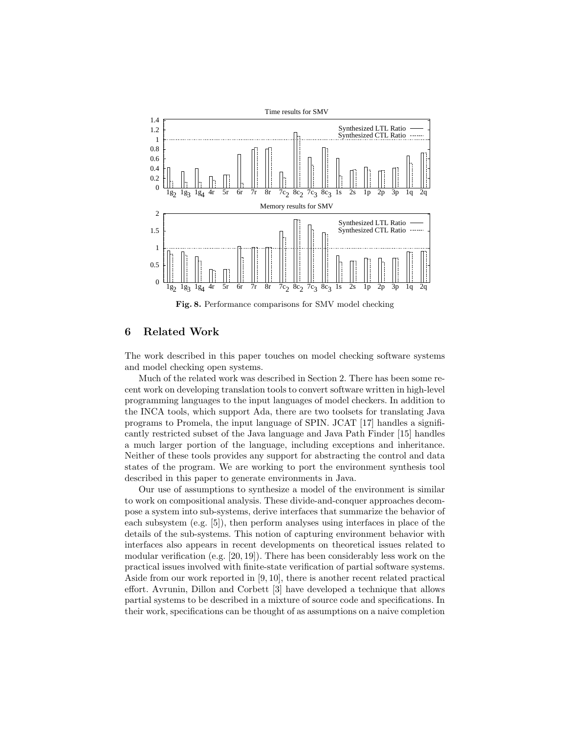

**Fig. 8.** Performance comparisons for SMV model checking

#### **6 Related Work**

The work described in this paper touches on model checking software systems and model checking open systems.

Much of the related work was described in Section 2. There has been some recent work on developing translation tools to convert software written in high-level programming languages to the input languages of model checkers. In addition to the INCA tools, which support Ada, there are two toolsets for translating Java programs to Promela, the input language of SPIN. JCAT [17] handles a significantly restricted subset of the Java language and Java Path Finder [15] handles a much larger portion of the language, including exceptions and inheritance. Neither of these tools provides any support for abstracting the control and data states of the program. We are working to port the environment synthesis tool described in this paper to generate environments in Java.

Our use of assumptions to synthesize a model of the environment is similar to work on compositional analysis. These divide-and-conquer approaches decompose a system into sub-systems, derive interfaces that summarize the behavior of each subsystem (e.g. [5]), then perform analyses using interfaces in place of the details of the sub-systems. This notion of capturing environment behavior with interfaces also appears in recent developments on theoretical issues related to modular verification (e.g. [20, 19]). There has been considerably less work on the practical issues involved with finite-state verification of partial software systems. Aside from our work reported in [9, 10], there is another recent related practical effort. Avrunin, Dillon and Corbett [3] have developed a technique that allows partial systems to be described in a mixture of source code and specifications. In their work, specifications can be thought of as assumptions on a naive completion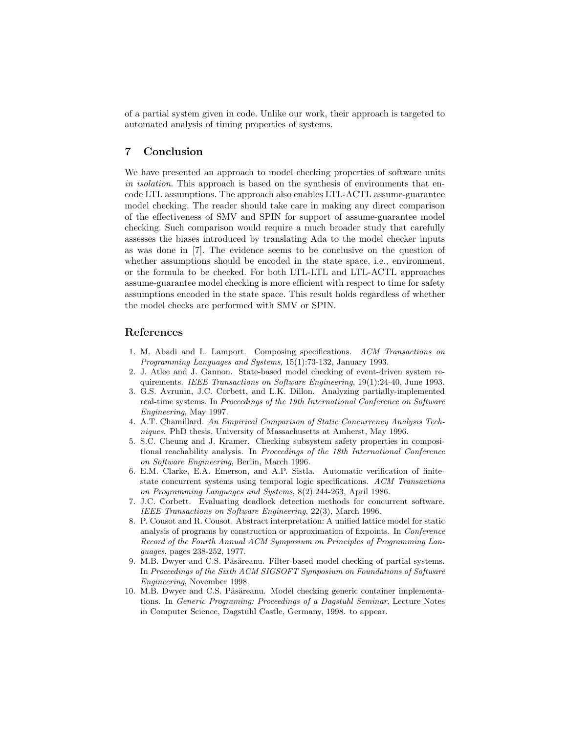of a partial system given in code. Unlike our work, their approach is targeted to automated analysis of timing properties of systems.

## **7 Conclusion**

We have presented an approach to model checking properties of software units in *isolation*. This approach is based on the synthesis of environments that encode LTL assumptions. The approach also enables LTL-ACTL assume-guarantee model checking. The reader should take care in making any direct comparison of the effectiveness of SMV and SPIN for support of assume-guarantee model checking. Such comparison would require a much broader study that carefully assesses the biases introduced by translating Ada to the model checker inputs as was done in [7]. The evidence seems to be conclusive on the question of whether assumptions should be encoded in the state space, i.e., environment, or the formula to be checked. For both LTL-LTL and LTL-ACTL approaches assume-guarantee model checking is more efficient with respect to time for safety assumptions encoded in the state space. This result holds regardless of whether the model checks are performed with SMV or SPIN.

### **References**

- 1. M. Abadi and L. Lamport. Composing specifications. ACM Transactions on Programming Languages and Systems, 15(1):73-132, January 1993.
- 2. J. Atlee and J. Gannon. State-based model checking of event-driven system requirements. IEEE Transactions on Software Engineering, 19(1):24-40, June 1993.
- 3. G.S. Avrunin, J.C. Corbett, and L.K. Dillon. Analyzing partially-implemented real-time systems. In Proceedings of the 19th International Conference on Software Engineering, May 1997.
- 4. A.T. Chamillard. An Empirical Comparison of Static Concurrency Analysis Techniques. PhD thesis, University of Massachusetts at Amherst, May 1996.
- 5. S.C. Cheung and J. Kramer. Checking subsystem safety properties in compositional reachability analysis. In Proceedings of the 18th International Conference on Software Engineering, Berlin, March 1996.
- 6. E.M. Clarke, E.A. Emerson, and A.P. Sistla. Automatic verification of finitestate concurrent systems using temporal logic specifications. ACM Transactions on Programming Languages and Systems, 8(2):244-263, April 1986.
- 7. J.C. Corbett. Evaluating deadlock detection methods for concurrent software. IEEE Transactions on Software Engineering, 22(3), March 1996.
- 8. P. Cousot and R. Cousot. Abstract interpretation: A unified lattice model for static analysis of programs by construction or approximation of fixpoints. In Conference Record of the Fourth Annual ACM Symposium on Principles of Programming Languages, pages 238-252, 1977.
- 9. M.B. Dwyer and C.S. Păsăreanu. Filter-based model checking of partial systems. In Proceedings of the Sixth ACM SIGSOFT Symposium on Foundations of Software Engineering, November 1998.
- 10. M.B. Dwyer and C.S. Păsăreanu. Model checking generic container implementations. In Generic Programing: Proceedings of a Dagstuhl Seminar, Lecture Notes in Computer Science, Dagstuhl Castle, Germany, 1998. to appear.